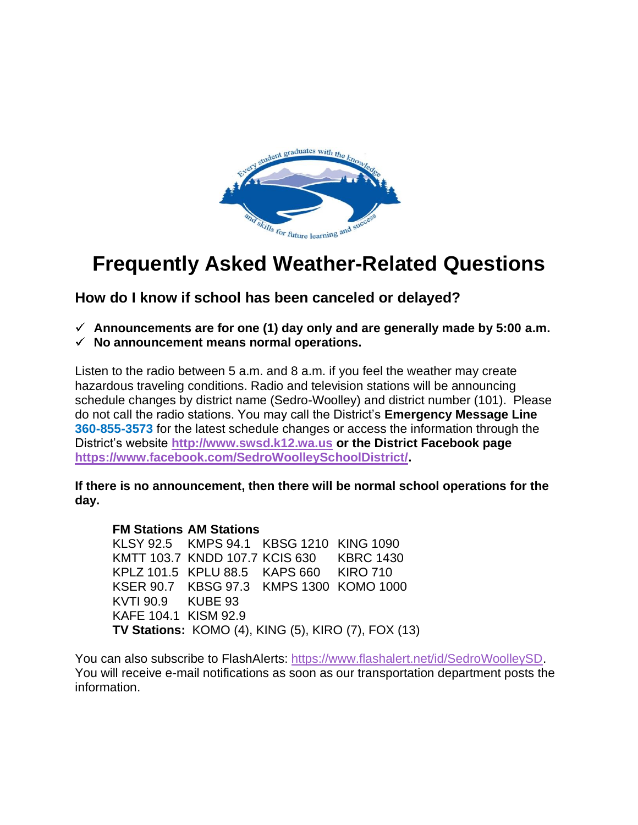

# **Frequently Asked Weather-Related Questions**

**How do I know if school has been canceled or delayed?** 

- **Announcements are for one (1) day only and are generally made by 5:00 a.m.**
- $\checkmark$  No announcement means normal operations.

Listen to the radio between 5 a.m. and 8 a.m. if you feel the weather may create hazardous traveling conditions. Radio and television stations will be announcing schedule changes by district name (Sedro-Woolley) and district number (101). Please do not call the radio stations. You may call the District's **Emergency Message Line 360-855-3573** for the latest schedule changes or access the information through the District's website **[http://www.swsd.k12.wa.us](http://www.swsd.k12.wa.us/) or the District Facebook page [https://www.facebook.com/SedroWoolleySchoolDistrict/.](https://www.facebook.com/SedroWoolleySchoolDistrict/)**

**If there is no announcement, then there will be normal school operations for the day.**

## **FM Stations AM Stations**

KLSY 92.5 KMPS 94.1 KBSG 1210 KING 1090 KMTT 103.7 KNDD 107.7 KCIS 630 KBRC 1430 KPLZ 101.5 KPLU 88.5 KAPS 660 KIRO 710 KSER 90.7 KBSG 97.3 KMPS 1300 KOMO 1000 KVTI 90.9 KUBE 93 KAFE 104.1 KISM 92.9 **TV Stations:** KOMO (4), KING (5), KIRO (7), FOX (13)

You can also subscribe to FlashAlerts: [https://www.flashalert.net/id/SedroWoolleySD.](https://www.flashalert.net/id/SedroWoolleySD) You will receive e-mail notifications as soon as our transportation department posts the information.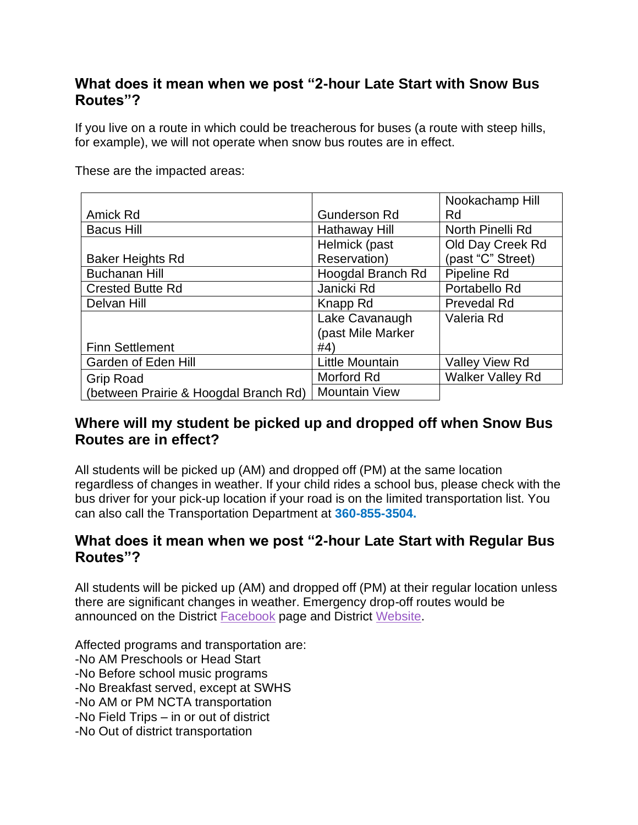# **What does it mean when we post "2-hour Late Start with Snow Bus Routes"?**

If you live on a route in which could be treacherous for buses (a route with steep hills, for example), we will not operate when snow bus routes are in effect.

These are the impacted areas:

|                                       |                      | Nookachamp Hill         |
|---------------------------------------|----------------------|-------------------------|
| Amick Rd                              | <b>Gunderson Rd</b>  | Rd                      |
| <b>Bacus Hill</b>                     | Hathaway Hill        | North Pinelli Rd        |
|                                       | Helmick (past        | Old Day Creek Rd        |
| <b>Baker Heights Rd</b>               | Reservation)         | (past "C" Street)       |
| <b>Buchanan Hill</b>                  | Hoogdal Branch Rd    | Pipeline Rd             |
| <b>Crested Butte Rd</b>               | Janicki Rd           | Portabello Rd           |
| Delvan Hill                           | Knapp Rd             | <b>Prevedal Rd</b>      |
|                                       | Lake Cavanaugh       | Valeria Rd              |
|                                       | (past Mile Marker    |                         |
| <b>Finn Settlement</b>                | #4)                  |                         |
| Garden of Eden Hill                   | Little Mountain      | <b>Valley View Rd</b>   |
| <b>Grip Road</b>                      | Morford Rd           | <b>Walker Valley Rd</b> |
| (between Prairie & Hoogdal Branch Rd) | <b>Mountain View</b> |                         |

# **Where will my student be picked up and dropped off when Snow Bus Routes are in effect?**

All students will be picked up (AM) and dropped off (PM) at the same location regardless of changes in weather. If your child rides a school bus, please check with the bus driver for your pick-up location if your road is on the limited transportation list. You can also call the Transportation Department at **360-855-3504.**

## **What does it mean when we post "2-hour Late Start with Regular Bus Routes"?**

All students will be picked up (AM) and dropped off (PM) at their regular location unless there are significant changes in weather. Emergency drop-off routes would be announced on the District [Facebook](https://www.facebook.com/SedroWoolleySchoolDistrict/) page and District [Website.](https://www.swsd.k12.wa.us/)

Affected programs and transportation are:

- -No AM Preschools or Head Start
- -No Before school music programs

-No Breakfast served, except at SWHS

-No AM or PM NCTA transportation

-No Field Trips – in or out of district

-No Out of district transportation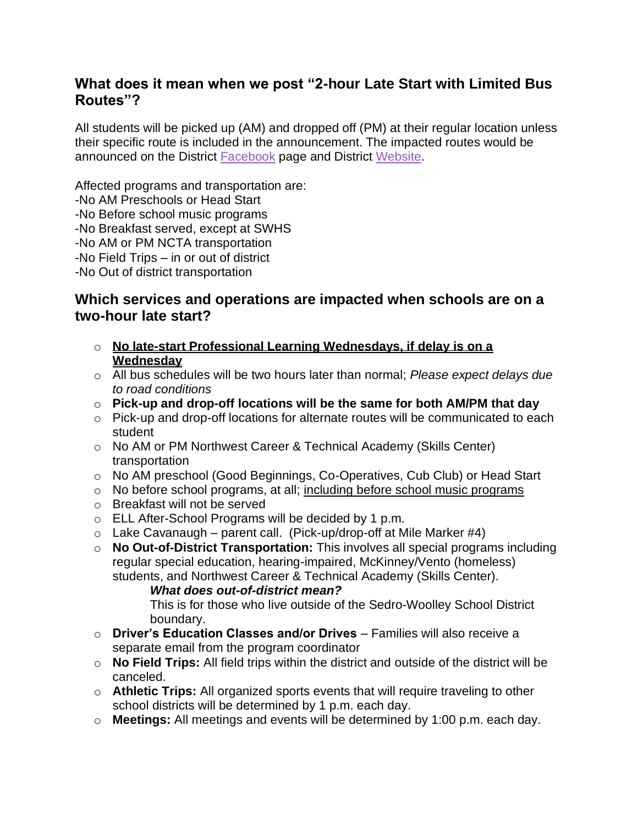## **What does it mean when we post "2-hour Late Start with Limited Bus Routes"?**

All students will be picked up (AM) and dropped off (PM) at their regular location unless their specific route is included in the announcement. The impacted routes would be announced on the District [Facebook](https://www.facebook.com/SedroWoolleySchoolDistrict/) page and District [Website.](https://www.swsd.k12.wa.us/)

Affected programs and transportation are:

-No AM Preschools or Head Start

-No Before school music programs

-No Breakfast served, except at SWHS

-No AM or PM NCTA transportation

-No Field Trips – in or out of district

-No Out of district transportation

## **Which services and operations are impacted when schools are on a two-hour late start?**

- o **No late-start Professional Learning Wednesdays, if delay is on a Wednesday**
- o All bus schedules will be two hours later than normal; *Please expect delays due to road conditions*
- o **Pick-up and drop-off locations will be the same for both AM/PM that day**
- o Pick-up and drop-off locations for alternate routes will be communicated to each student
- o No AM or PM Northwest Career & Technical Academy (Skills Center) transportation
- o No AM preschool (Good Beginnings, Co-Operatives, Cub Club) or Head Start
- o No before school programs, at all; including before school music programs
- o Breakfast will not be served
- o ELL After-School Programs will be decided by 1 p.m.
- $\circ$  Lake Cavanaugh parent call. (Pick-up/drop-off at Mile Marker #4)
- o **No Out-of-District Transportation:** This involves all special programs including regular special education, hearing-impaired, McKinney/Vento (homeless) students, and Northwest Career & Technical Academy (Skills Center).

*What does out-of-district mean?* 

This is for those who live outside of the Sedro-Woolley School District boundary.

- o **Driver's Education Classes and/or Drives** Families will also receive a separate email from the program coordinator
- o **No Field Trips:** All field trips within the district and outside of the district will be canceled.
- o **Athletic Trips:** All organized sports events that will require traveling to other school districts will be determined by 1 p.m. each day.
- o **Meetings:** All meetings and events will be determined by 1:00 p.m. each day.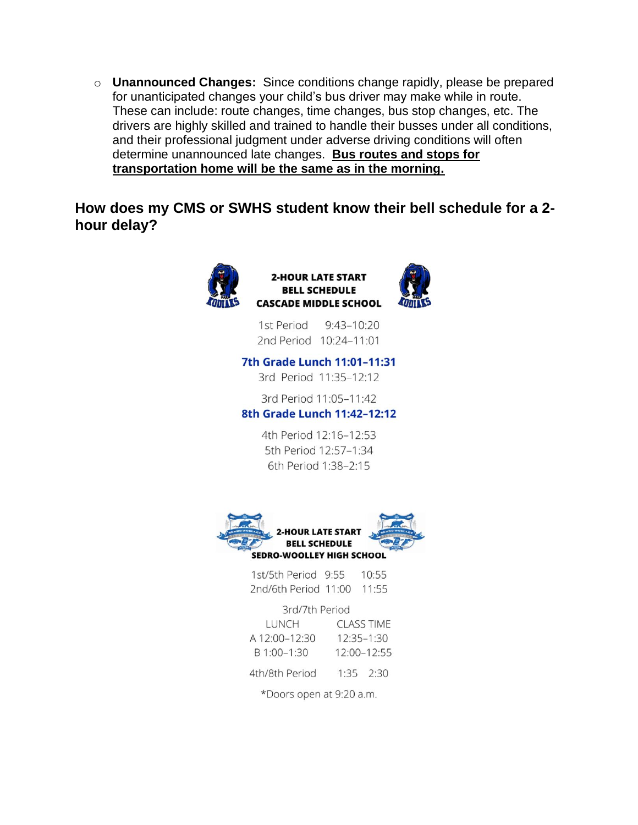o Unannounced Changes: Since conditions change rapidly, please be prepared for unanticipated changes your child's bus driver may make while in route. These can include: route changes, time changes, bus stop changes, etc. The drivers are highly skilled and trained to handle their busses under all conditions, and their professional judgment under adverse driving conditions will often determine unannounced late changes. Bus routes and stops for transportation home will be the same as in the morning.

How does my CMS or SWHS student know their bell schedule for a 2hour delay?



#### **2-HOUR LATE START BELL SCHEDULE CASCADE MIDDLE SCHOOL**

1st Period  $9:43-10:20$ 2nd Period 10:24-11:01

## 7th Grade Lunch 11:01-11:31

3rd Period 11:35-12:12

#### 3rd Period 11:05-11:42 8th Grade Lunch 11:42-12:12

4th Period 12:16-12:53 5th Period 12:57-1:34 6th Period 1:38-2:15



1st/5th Period 9:55  $10:55$ 2nd/6th Period 11:00 11:55

| 3rd/7th Period |                |                   |  |
|----------------|----------------|-------------------|--|
| LUNCH          |                | <b>CLASS TIME</b> |  |
| A 12:00-12:30  | $12:35 - 1:30$ |                   |  |
| B 1:00-1:30    |                | 12:00-12:55       |  |
| 4th/8th Period | $1:35$ $2:30$  |                   |  |
|                |                |                   |  |

\*Doors open at 9:20 a.m.